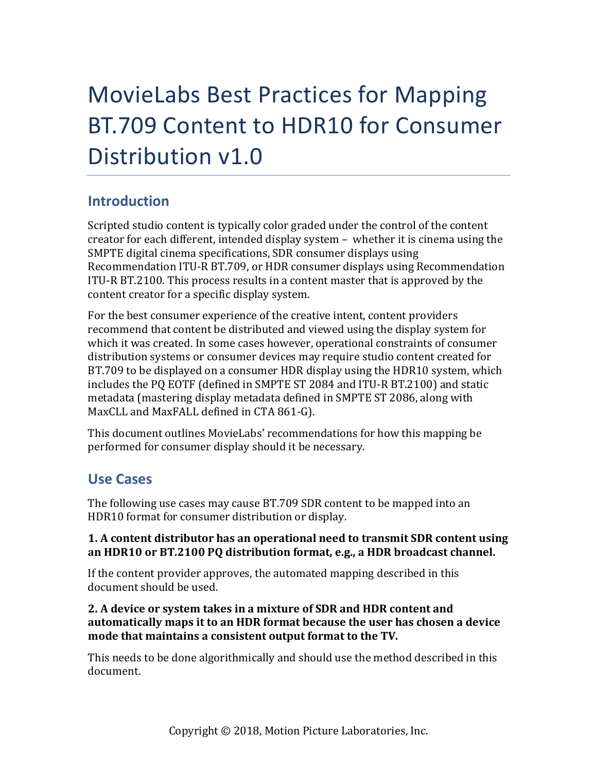# MovieLabs Best Practices for Mapping BT.709 Content to HDR10 for Consumer Distribution v1.0

## **Introduction**

Scripted studio content is typically color graded under the control of the content creator for each different, intended display system  $-$  whether it is cinema using the SMPTE digital cinema specifications, SDR consumer displays using Recommendation ITU-R BT.709, or HDR consumer displays using Recommendation ITU-R BT.2100. This process results in a content master that is approved by the content creator for a specific display system.

For the best consumer experience of the creative intent, content providers recommend that content be distributed and viewed using the display system for which it was created. In some cases however, operational constraints of consumer distribution systems or consumer devices may require studio content created for BT.709 to be displayed on a consumer HDR display using the HDR10 system, which includes the PQ EOTF (defined in SMPTE ST 2084 and ITU-R BT.2100) and static metadata (mastering display metadata defined in SMPTE ST 2086, along with MaxCLL and MaxFALL defined in CTA 861-G).

This document outlines MovieLabs' recommendations for how this mapping be performed for consumer display should it be necessary.

## **Use Cases**

The following use cases may cause BT.709 SDR content to be mapped into an HDR10 format for consumer distribution or display.

## **1. A content distributor has an operational need to transmit SDR content using** an HDR10 or BT.2100 PQ distribution format, e.g., a HDR broadcast channel.

If the content provider approves, the automated mapping described in this document should be used.

## **2. A device or system takes in a mixture of SDR and HDR content and**  automatically maps it to an HDR format because the user has chosen a device **mode that maintains a consistent output format to the TV.**

This needs to be done algorithmically and should use the method described in this document.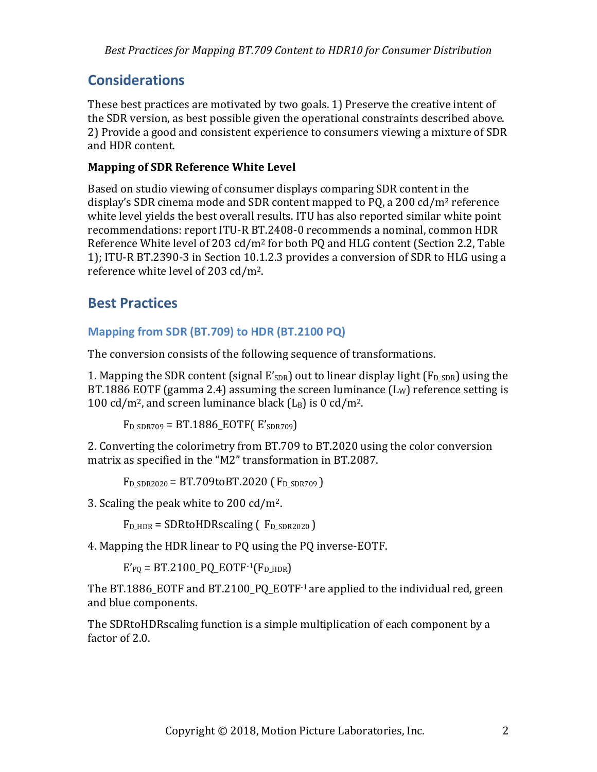## **Considerations**

These best practices are motivated by two goals. 1) Preserve the creative intent of the SDR version, as best possible given the operational constraints described above. 2) Provide a good and consistent experience to consumers viewing a mixture of SDR and HDR content.

#### **Mapping of SDR Reference White Level**

Based on studio viewing of consumer displays comparing SDR content in the display's SDR cinema mode and SDR content mapped to PQ, a 200 cd/m<sup>2</sup> reference white level yields the best overall results. ITU has also reported similar white point recommendations: report ITU-R BT.2408-0 recommends a nominal, common HDR Reference White level of 203 cd/m<sup>2</sup> for both PQ and HLG content (Section 2.2, Table 1); ITU-R BT.2390-3 in Section 10.1.2.3 provides a conversion of SDR to HLG using a reference white level of 203 cd/m<sup>2</sup>.

## **Best Practices**

## **Mapping from SDR (BT.709) to HDR (BT.2100 PQ)**

The conversion consists of the following sequence of transformations.

1. Mapping the SDR content (signal  $E'_{SDR}$ ) out to linear display light ( $F_{D;SDR}$ ) using the BT.1886 EOTF (gamma 2.4) assuming the screen luminance  $(L_W)$  reference setting is 100 cd/m<sup>2</sup>, and screen luminance black  $(L_B)$  is 0 cd/m<sup>2</sup>.

 $F<sub>D</sub>$  SDR709 = BT.1886 EOTF( $E'$ SDR709)

2. Converting the colorimetry from BT.709 to BT.2020 using the color conversion matrix as specified in the "M2" transformation in BT.2087.

 $F_D$  sdr  $2020 = BT.709$ toBT.2020 ( $F_D$  sdr  $709$ )

3. Scaling the peak white to  $200 \text{ cd/m}^2$ .

 $F_{D_HDR}$  = SDRtoHDRscaling ( $F_{D_SDR2020}$ )

4. Mapping the HDR linear to PQ using the PQ inverse-EOTF.

 $E'_{PQ}$  = BT.2100\_PQ\_EOTF-1(F<sub>D\_HDR</sub>)

The BT.1886\_EOTF and BT.2100\_PQ\_EOTF $-1$  are applied to the individual red, green and blue components.

The SDRtoHDRscaling function is a simple multiplication of each component by a factor of 2.0.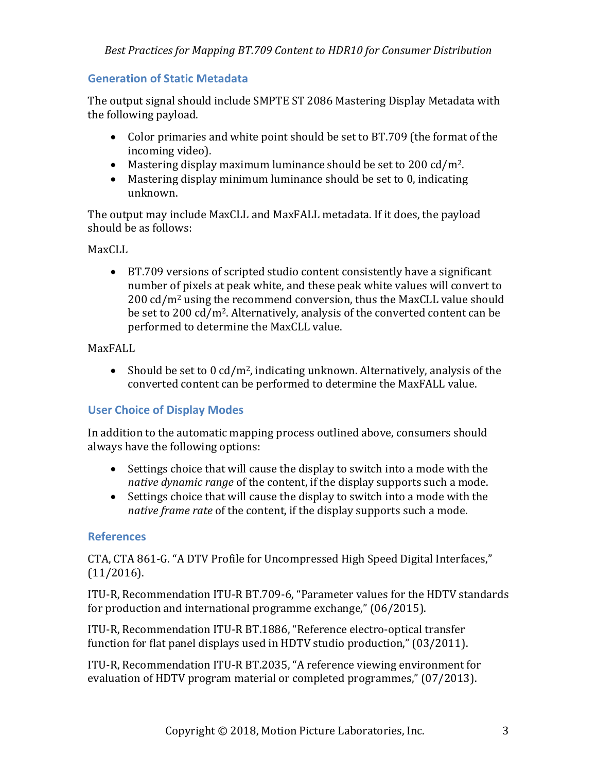#### **Generation of Static Metadata**

The output signal should include SMPTE ST 2086 Mastering Display Metadata with the following payload.

- Color primaries and white point should be set to BT.709 (the format of the incoming video).
- Mastering display maximum luminance should be set to 200 cd/m<sup>2</sup>.
- Mastering display minimum luminance should be set to  $0$ , indicating unknown.

The output may include MaxCLL and MaxFALL metadata. If it does, the payload should be as follows:

## MaxCLL.

• BT.709 versions of scripted studio content consistently have a significant number of pixels at peak white, and these peak white values will convert to  $200 \text{ cd/m}^2$  using the recommend conversion, thus the MaxCLL value should be set to  $200 \text{ cd/m}^2$ . Alternatively, analysis of the converted content can be performed to determine the MaxCLL value.

MaxFALL

• Should be set to 0 cd/m<sup>2</sup>, indicating unknown. Alternatively, analysis of the converted content can be performed to determine the MaxFALL value.

## **User Choice of Display Modes**

In addition to the automatic mapping process outlined above, consumers should always have the following options:

- Settings choice that will cause the display to switch into a mode with the *native dynamic range* of the content, if the display supports such a mode.
- Settings choice that will cause the display to switch into a mode with the *native frame rate* of the content, if the display supports such a mode.

#### **References**

CTA, CTA 861-G. "A DTV Profile for Uncompressed High Speed Digital Interfaces," (11/2016).

ITU-R, Recommendation ITU-R BT.709-6, "Parameter values for the HDTV standards for production and international programme exchange,"  $(06/2015)$ .

ITU-R, Recommendation ITU-R BT.1886, "Reference electro-optical transfer function for flat panel displays used in HDTV studio production," (03/2011).

ITU-R, Recommendation ITU-R BT.2035, "A reference viewing environment for evaluation of HDTV program material or completed programmes," (07/2013).